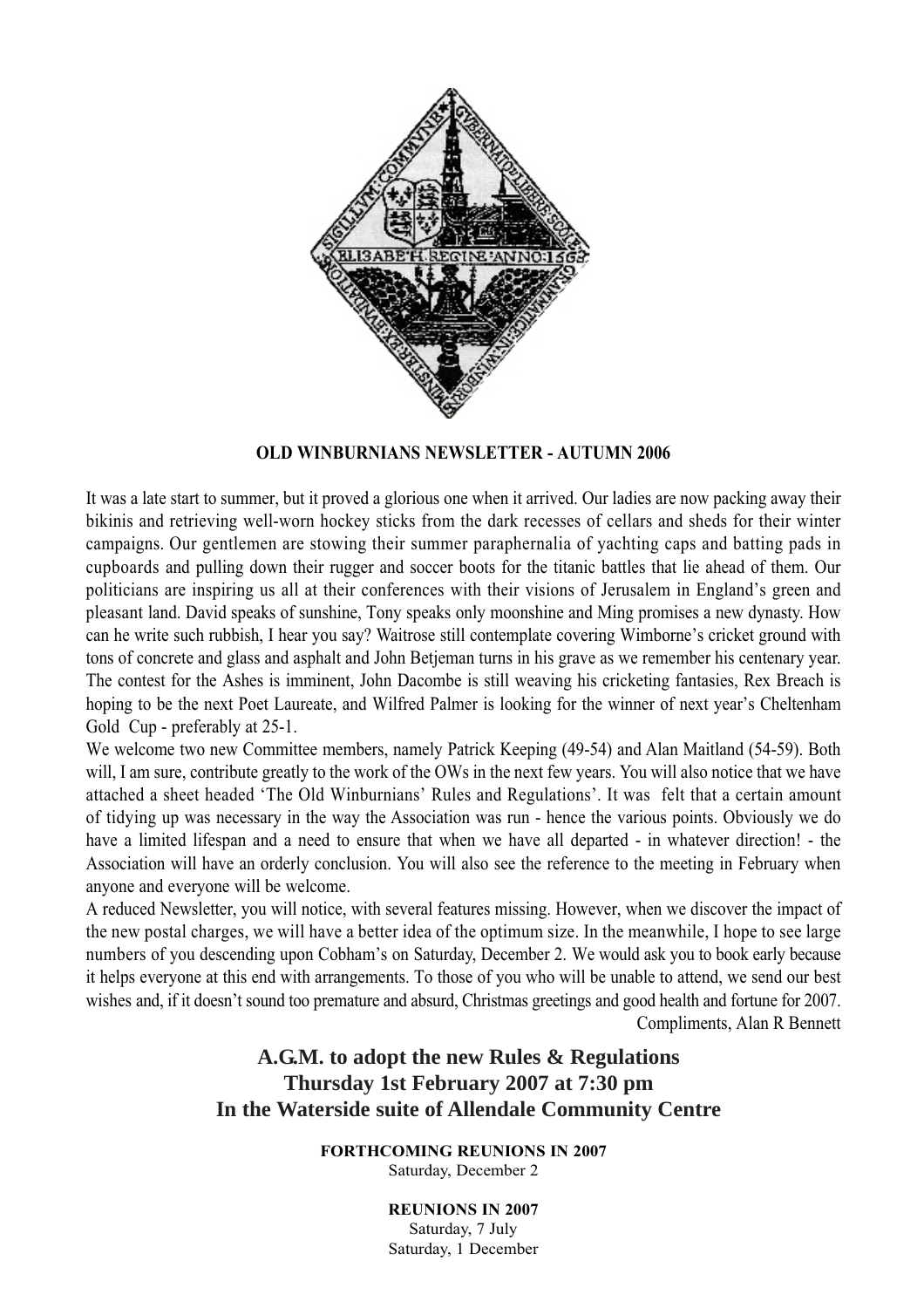

### **OLD WINBURNIANS NEWSLETTER - AUTUMN 2006**

It was a late start to summer, but it proved a glorious one when it arrived. Our ladies are now packing away their bikinis and retrieving well-worn hockey sticks from the dark recesses of cellars and sheds for their winter campaigns. Our gentlemen are stowing their summer paraphernalia of yachting caps and batting pads in cupboards and pulling down their rugger and soccer boots for the titanic battles that lie ahead of them. Our politicians are inspiring us all at their conferences with their visions of Jerusalem in England's green and pleasant land. David speaks of sunshine, Tony speaks only moonshine and Ming promises a new dynasty. How can he write such rubbish, I hear you say? Waitrose still contemplate covering Wimborne's cricket ground with tons of concrete and glass and asphalt and John Betjeman turns in his grave as we remember his centenary year. The contest for the Ashes is imminent, John Dacombe is still weaving his cricketing fantasies, Rex Breach is hoping to be the next Poet Laureate, and Wilfred Palmer is looking for the winner of next year's Cheltenham Gold Cup - preferably at 25-1.

We welcome two new Committee members, namely Patrick Keeping (49-54) and Alan Maitland (54-59). Both will, I am sure, contribute greatly to the work of the OWs in the next few years. You will also notice that we have attached a sheet headed 'The Old Winburnians' Rules and Regulations'. It was felt that a certain amount of tidying up was necessary in the way the Association was run - hence the various points. Obviously we do have a limited lifespan and a need to ensure that when we have all departed - in whatever direction! - the Association will have an orderly conclusion. You will also see the reference to the meeting in February when anyone and everyone will be welcome.

A reduced Newsletter, you will notice, with several features missing. However, when we discover the impact of the new postal charges, we will have a better idea of the optimum size. In the meanwhile, I hope to see large numbers of you descending upon Cobham's on Saturday, December 2. We would ask you to book early because it helps everyone at this end with arrangements. To those of you who will be unable to attend, we send our best wishes and, if it doesn't sound too premature and absurd, Christmas greetings and good health and fortune for 2007. Compliments, Alan R Bennett

# **A.G.M. to adopt the new Rules & Regulations Thursday 1st February 2007 at 7:30 pm In the Waterside suite of Allendale Community Centre**

**FORTHCOMING REUNIONS IN 2007** Saturday, December 2

> **REUNIONS IN 2007** Saturday, 7 July Saturday, 1 December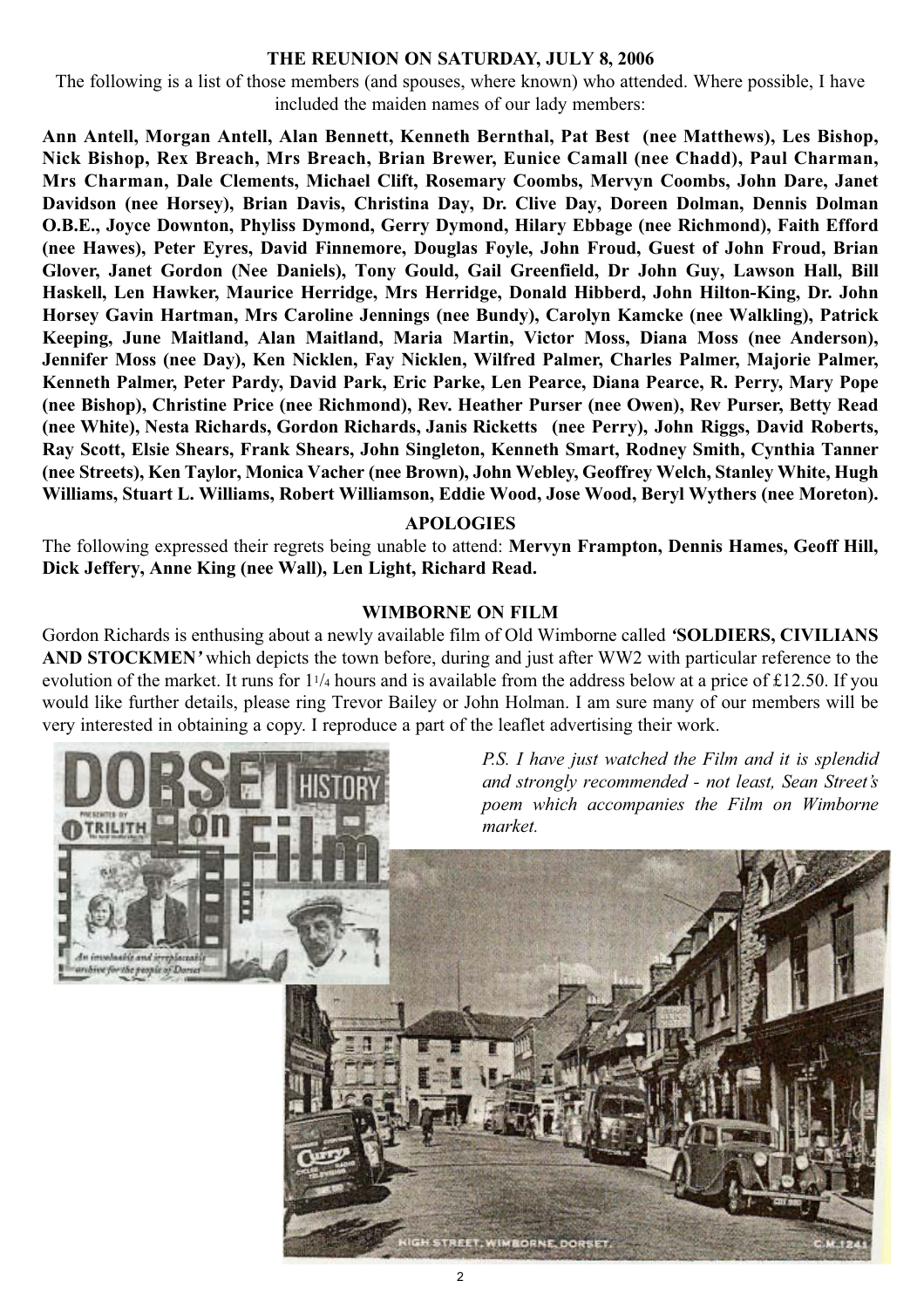### **THE REUNION ON SATURDAY, JULY 8, 2006**

The following is a list of those members (and spouses, where known) who attended. Where possible, I have included the maiden names of our lady members:

**Ann Antell, Morgan Antell, Alan Bennett, Kenneth Bernthal, Pat Best (nee Matthews), Les Bishop, Nick Bishop, Rex Breach, Mrs Breach, Brian Brewer, Eunice Camall (nee Chadd), Paul Charman, Mrs Charman, Dale Clements, Michael Clift, Rosemary Coombs, Mervyn Coombs, John Dare, Janet Davidson (nee Horsey), Brian Davis, Christina Day, Dr. Clive Day, Doreen Dolman, Dennis Dolman O.B.E., Joyce Downton, Phyliss Dymond, Gerry Dymond, Hilary Ebbage (nee Richmond), Faith Efford (nee Hawes), Peter Eyres, David Finnemore, Douglas Foyle, John Froud, Guest of John Froud, Brian Glover, Janet Gordon (Nee Daniels), Tony Gould, Gail Greenfield, Dr John Guy, Lawson Hall, Bill Haskell, Len Hawker, Maurice Herridge, Mrs Herridge, Donald Hibberd, John Hilton-King, Dr. John Horsey Gavin Hartman, Mrs Caroline Jennings (nee Bundy), Carolyn Kamcke (nee Walkling), Patrick Keeping, June Maitland, Alan Maitland, Maria Martin, Victor Moss, Diana Moss (nee Anderson), Jennifer Moss (nee Day), Ken Nicklen, Fay Nicklen, Wilfred Palmer, Charles Palmer, Majorie Palmer, Kenneth Palmer, Peter Pardy, David Park, Eric Parke, Len Pearce, Diana Pearce, R. Perry, Mary Pope (nee Bishop), Christine Price (nee Richmond), Rev. Heather Purser (nee Owen), Rev Purser, Betty Read (nee White), Nesta Richards, Gordon Richards, Janis Ricketts (nee Perry), John Riggs, David Roberts, Ray Scott, Elsie Shears, Frank Shears, John Singleton, Kenneth Smart, Rodney Smith, Cynthia Tanner (nee Streets), Ken Taylor, Monica Vacher (nee Brown), John Webley, Geoffrey Welch, Stanley White, Hugh Williams, Stuart L. Williams, Robert Williamson, Eddie Wood, Jose Wood, Beryl Wythers (nee Moreton).**

#### **APOLOGIES**

The following expressed their regrets being unable to attend: **Mervyn Frampton, Dennis Hames, Geoff Hill, Dick Jeffery, Anne King (nee Wall), Len Light, Richard Read.**

### **WIMBORNE ON FILM**

Gordon Richards is enthusing about a newly available film of Old Wimborne called *'***SOLDIERS, CIVILIANS AND STOCKMEN***'* which depicts the town before, during and just after WW2 with particular reference to the evolution of the market. It runs for 11/4 hours and is available from the address below at a price of £12.50. If you would like further details, please ring Trevor Bailey or John Holman. I am sure many of our members will be very interested in obtaining a copy. I reproduce a part of the leaflet advertising their work.

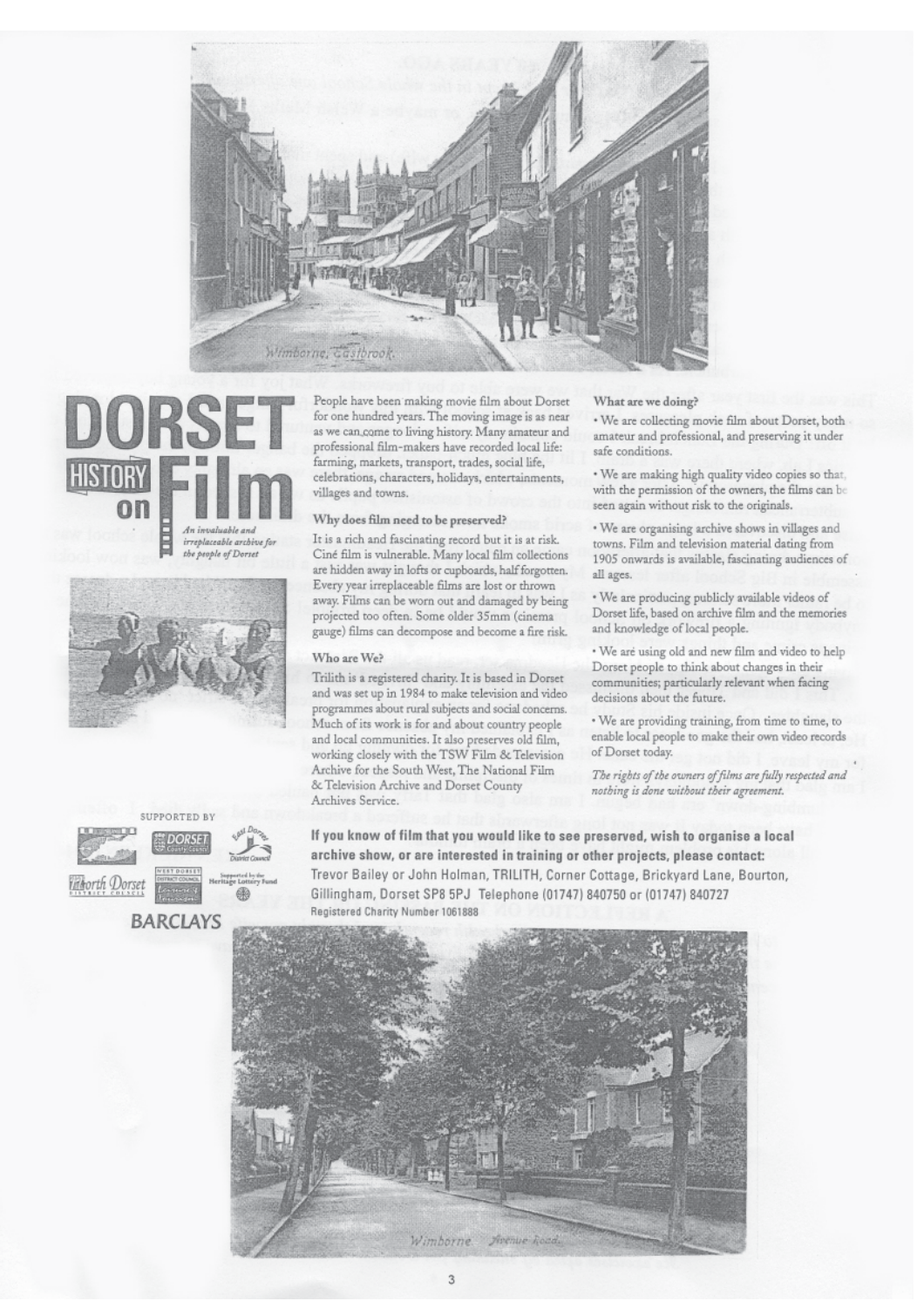







People have been making movie film about Dorset for one hundred years. The moving image is as near as we can come to living history. Many amateur and professional film-makers have recorded local life: farming, markets, transport, trades, social life, celebrations, characters, holidays, entertainments, villages and towns.

#### Why does film need to be preserved?

It is a rich and fascinating record but it is at risk. Ciné film is vulnerable. Many local film collections are hidden away in lofts or cupboards, half forgotten. Every year irreplaceable films are lost or thrown away. Films can be worn out and damaged by being projected too often. Some older 35mm (cinema gauge) films can decompose and become a fire risk.

#### Who are We?

Trilith is a registered charity. It is based in Dorset and was set up in 1984 to make television and video programmes about rural subjects and social concerns. Much of its work is for and about country people and local communities. It also preserves old film, working closely with the TSW Film & Television Archive for the South West, The National Film & Television Archive and Dorset County Archives Service.

#### What are we doing?

. We are collecting movie film about Dorset, both amateur and professional, and preserving it under safe conditions.

· We are making high quality video copies so that, with the permission of the owners, the films can be seen again without risk to the originals.

· We are organising archive shows in villages and towns. Film and television material dating from 1905 onwards is available, fascinating audiences of all ages.

· We are producing publicly available videos of Dorset life, based on archive film and the memories and knowledge of local people.

. We are using old and new film and video to help Dorset people to think about changes in their communities; particularly relevant when facing decisions about the future.

· We are providing training, from time to time, to enable local people to make their own video records of Dorset today.

The rights of the owners of films are fully respected and nothing is done without their agreement.

If you know of film that you would like to see preserved, wish to organise a local archive show, or are interested in training or other projects, please contact: Trevor Bailey or John Holman, TRILITH, Corner Cottage, Brickyard Lane, Bourton, Gillingham, Dorset SP8 5PJ Telephone (01747) 840750 or (01747) 840727 Registered Charity Number 1061888

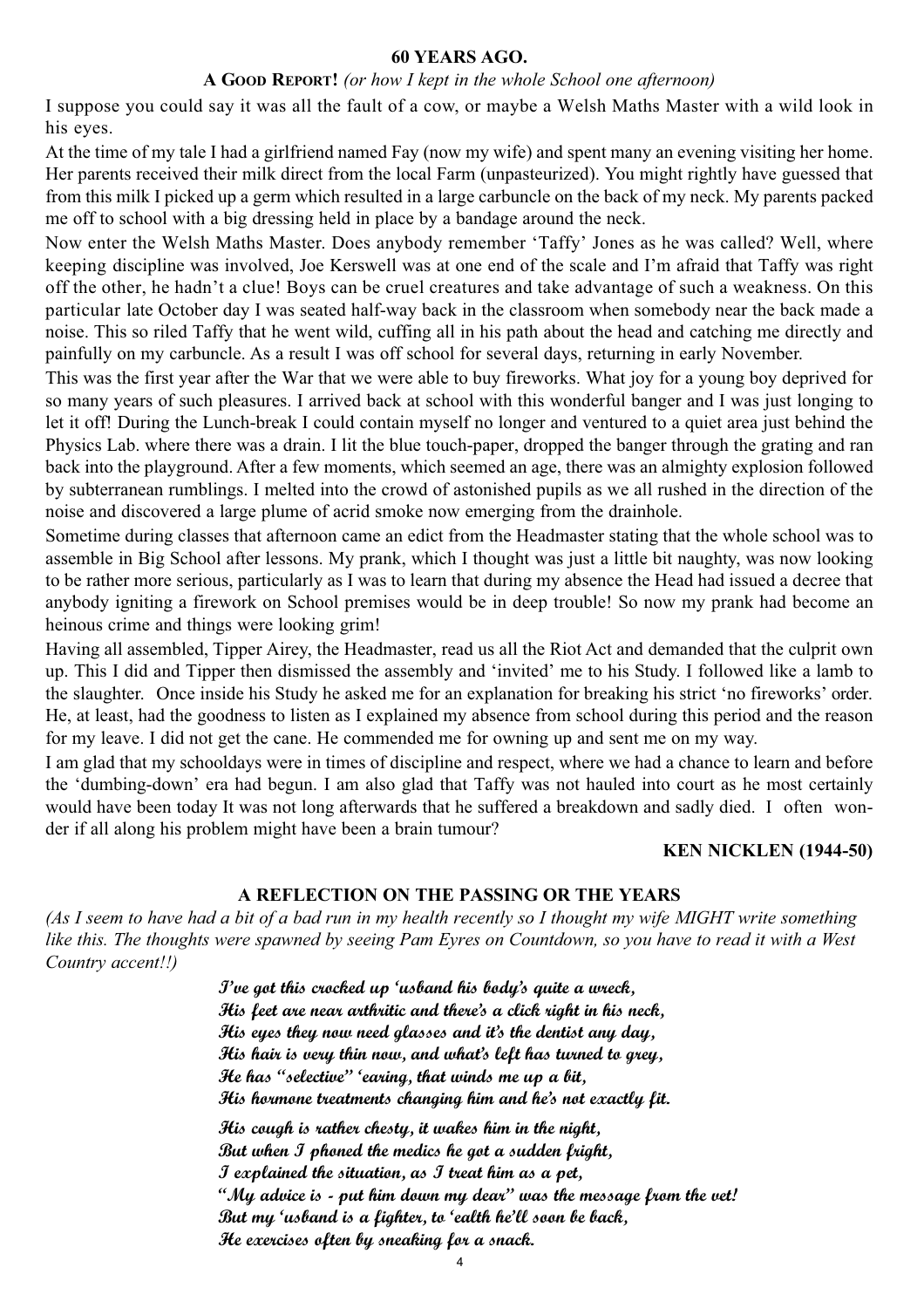#### **60 YEARS AGO.**

#### **A GOOD REPORT!** *(or how I kept in the whole School one afternoon)*

I suppose you could say it was all the fault of a cow, or maybe a Welsh Maths Master with a wild look in his eyes.

At the time of my tale I had a girlfriend named Fay (now my wife) and spent many an evening visiting her home. Her parents received their milk direct from the local Farm (unpasteurized). You might rightly have guessed that from this milk I picked up a germ which resulted in a large carbuncle on the back of my neck. My parents packed me off to school with a big dressing held in place by a bandage around the neck.

Now enter the Welsh Maths Master. Does anybody remember 'Taffy' Jones as he was called? Well, where keeping discipline was involved, Joe Kerswell was at one end of the scale and I'm afraid that Taffy was right off the other, he hadn't a clue! Boys can be cruel creatures and take advantage of such a weakness. On this particular late October day I was seated half-way back in the classroom when somebody near the back made a noise. This so riled Taffy that he went wild, cuffing all in his path about the head and catching me directly and painfully on my carbuncle. As a result I was off school for several days, returning in early November.

This was the first year after the War that we were able to buy fireworks. What joy for a young boy deprived for so many years of such pleasures. I arrived back at school with this wonderful banger and I was just longing to let it off! During the Lunch-break I could contain myself no longer and ventured to a quiet area just behind the Physics Lab. where there was a drain. I lit the blue touch-paper, dropped the banger through the grating and ran back into the playground. After a few moments, which seemed an age, there was an almighty explosion followed by subterranean rumblings. I melted into the crowd of astonished pupils as we all rushed in the direction of the noise and discovered a large plume of acrid smoke now emerging from the drainhole.

Sometime during classes that afternoon came an edict from the Headmaster stating that the whole school was to assemble in Big School after lessons. My prank, which I thought was just a little bit naughty, was now looking to be rather more serious, particularly as I was to learn that during my absence the Head had issued a decree that anybody igniting a firework on School premises would be in deep trouble! So now my prank had become an heinous crime and things were looking grim!

Having all assembled, Tipper Airey, the Headmaster, read us all the Riot Act and demanded that the culprit own up. This I did and Tipper then dismissed the assembly and 'invited' me to his Study. I followed like a lamb to the slaughter. Once inside his Study he asked me for an explanation for breaking his strict 'no fireworks' order. He, at least, had the goodness to listen as I explained my absence from school during this period and the reason for my leave. I did not get the cane. He commended me for owning up and sent me on my way.

I am glad that my schooldays were in times of discipline and respect, where we had a chance to learn and before the 'dumbing-down' era had begun. I am also glad that Taffy was not hauled into court as he most certainly would have been today It was not long afterwards that he suffered a breakdown and sadly died. I often wonder if all along his problem might have been a brain tumour?

#### **KEN NICKLEN (1944-50)**

#### **A REFLECTION ON THE PASSING OR THE YEARS**

*(As I seem to have had a bit of a bad run in my health recently so I thought my wife MIGHT write something like this. The thoughts were spawned by seeing Pam Eyres on Countdown, so you have to read it with a West Country accent!!)*

> **I've got this crocked up 'usband his body's quite a wreck, His feet are near arthritic and there's a click right in his neck, His eyes they now need glasses and it's the dentist any day, His hair is very thin now, and what's left has turned to grey, He has "selective" 'earing, that winds me up a bit, His hormone treatments changing him and he's not exactly fit. His cough is rather chesty, it wakes him in the night, But when I phoned the medics he got a sudden fright, I explained the situation, as I treat him as a pet,**

**"My advice is - put him down my dear" was the message from the vet! But my 'usband is a fighter, to 'ealth he'll soon be back, He exercises often by sneaking for a snack.**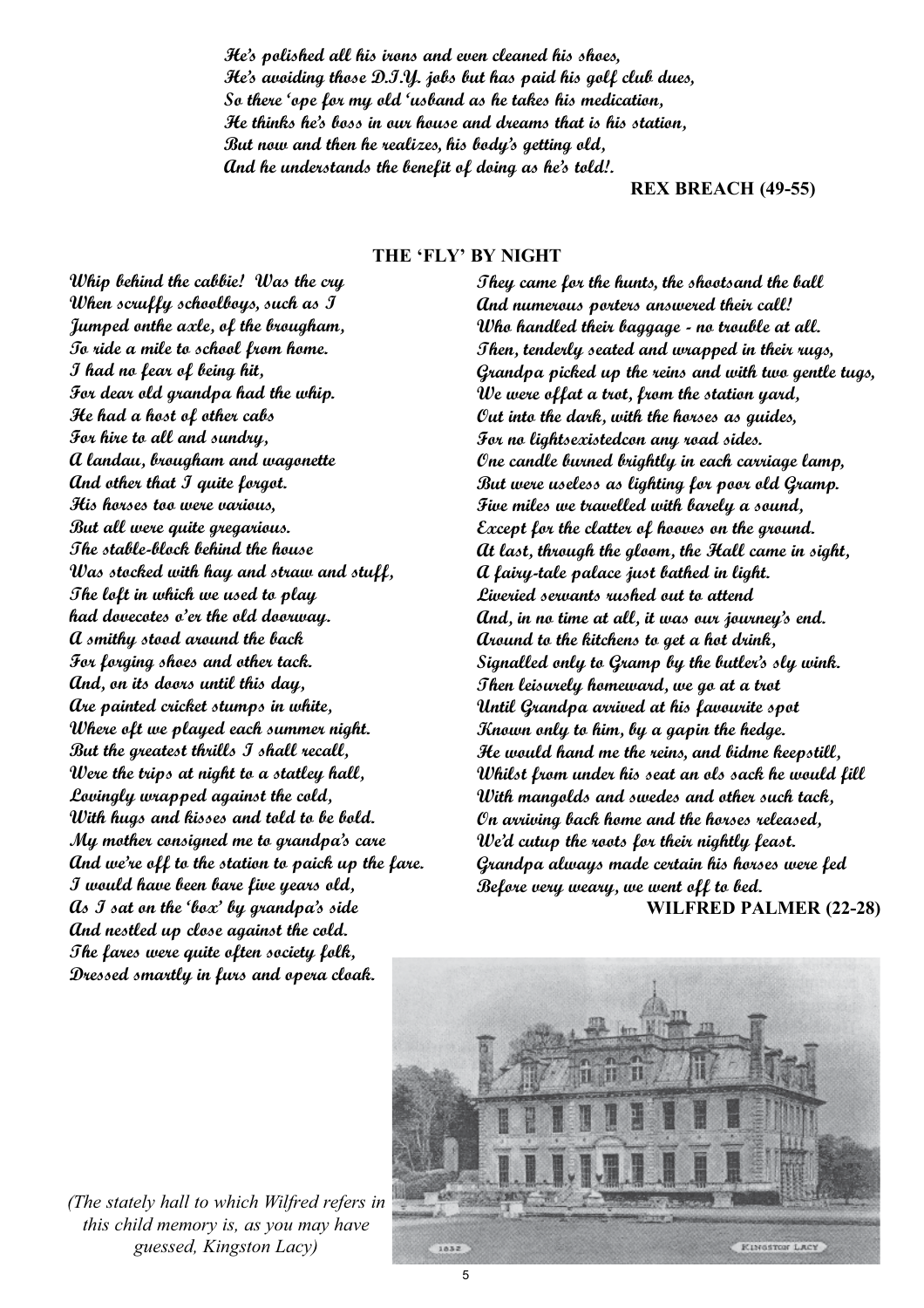**He's polished all his irons and even cleaned his shoes, He's avoiding those D.I.Y. jobs but has paid his golf club dues, So there 'ope for my old 'usband as he takes his medication, He thinks he's boss in our house and dreams that is his station, But now and then he realizes, his body's getting old, And he understands the benefit of doing as he's told!.**

**REX BREACH (49-55)**

#### **THE 'FLY' BY NIGHT**

**Whip behind the cabbie! Was the cry When scruffy schoolboys, such as I Jumped onthe axle, of the brougham, To ride a mile to school from home. I had no fear of being hit, For dear old grandpa had the whip. He had a host of other cabs For hire to all and sundry, A landau, brougham and wagonette And other that I quite forgot. His horses too were various, But all were quite gregarious. The stable-block behind the house Was stocked with hay and straw and stuff, The loft in which we used to play had dovecotes o'er the old doorway. A smithy stood around the back For forging shoes and other tack. And, on its doors until this day, Are painted cricket stumps in white, Where oft we played each summer night. But the greatest thrills I shall recall, Were the trips at night to a statley hall, Lovingly wrapped against the cold, With hugs and kisses and told to be bold. My mother consigned me to grandpa's care And we're off to the station to paick up the fare. I would have been bare five years old, As I sat on the 'box' by grandpa's side And nestled up close against the cold. The fares were quite often society folk, Dressed smartly in furs and opera cloak.** 

**They came for the hunts, the shootsand the ball And numerous porters answered their call! Who handled their baggage - no trouble at all. Then, tenderly seated and wrapped in their rugs, Grandpa picked up the reins and with two gentle tugs, We were offat a trot, from the station yard, Out into the dark, with the horses as guides, For no lightsexistedcon any road sides. One candle burned brightly in each carriage lamp, But were useless as lighting for poor old Gramp. Five miles we travelled with barely a sound, Except for the clatter of hooves on the ground. At last, through the gloom, the Hall came in sight, A fairy-tale palace just bathed in light. Liveried servants rushed out to attend And, in no time at all, it was our journey's end. Around to the kitchens to get a hot drink, Signalled only to Gramp by the butler's sly wink. Then leisurely homeward, we go at a trot Until Grandpa arrived at his favourite spot Known only to him, by a gapin the hedge. He would hand me the reins, and bidme keepstill, Whilst from under his seat an ols sack he would fill With mangolds and swedes and other such tack, On arriving back home and the horses released, We'd cutup the roots for their nightly feast. Grandpa always made certain his horses were fed Before very weary, we went off to bed. WILFRED PALMER (22-28)**



*(The stately hall to which Wilfred refers in this child memory is, as you may have guessed, Kingston Lacy)*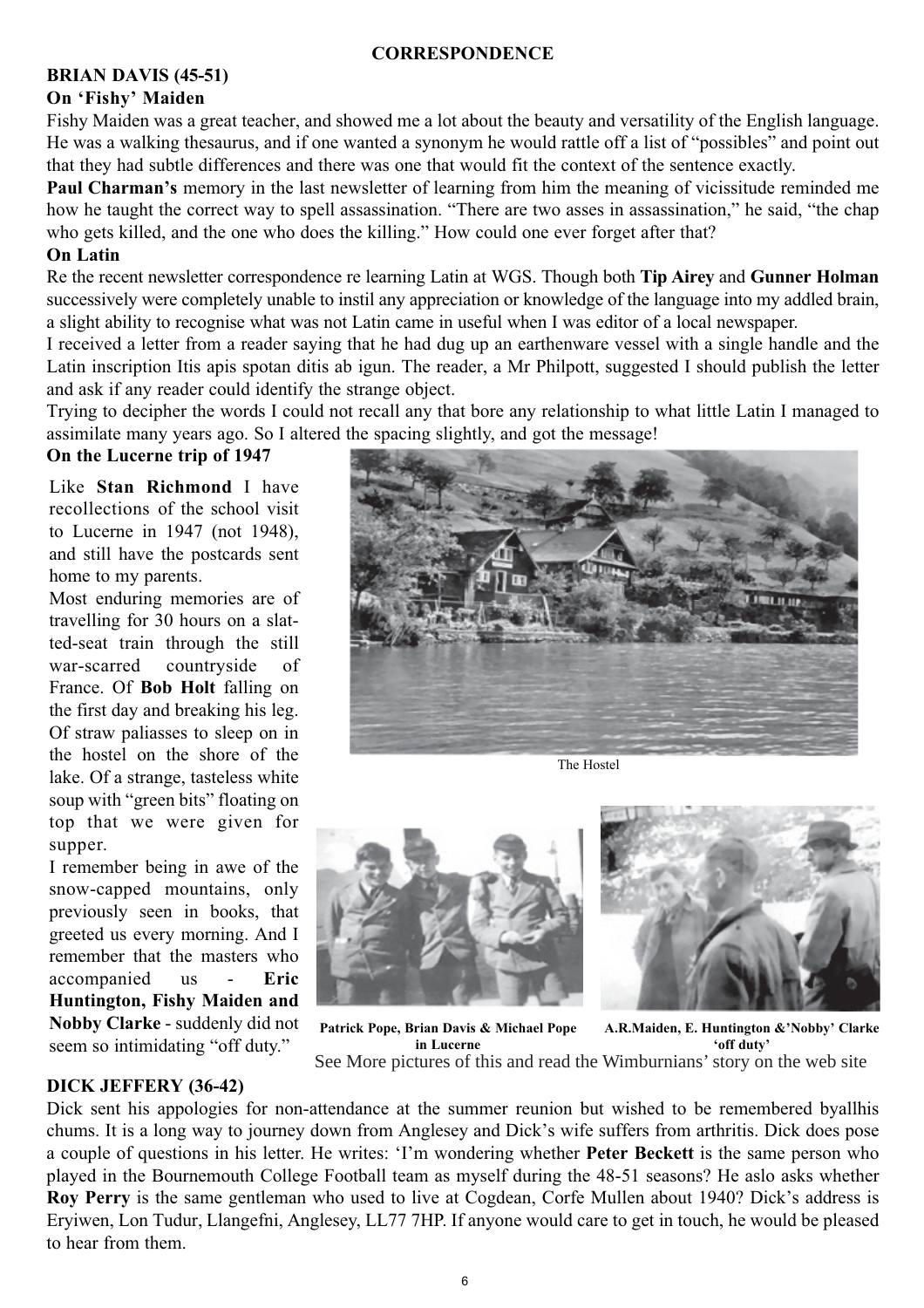## **CORRESPONDENCE**

#### **BRIAN DAVIS (45-51) On 'Fishy' Maiden**

Fishy Maiden was a great teacher, and showed me a lot about the beauty and versatility of the English language. He was a walking thesaurus, and if one wanted a synonym he would rattle off a list of "possibles" and point out that they had subtle differences and there was one that would fit the context of the sentence exactly.

**Paul Charman's** memory in the last newsletter of learning from him the meaning of vicissitude reminded me how he taught the correct way to spell assassination. "There are two asses in assassination," he said, "the chap who gets killed, and the one who does the killing." How could one ever forget after that?

## **On Latin**

Re the recent newsletter correspondence re learning Latin at WGS. Though both **Tip Airey** and **Gunner Holman** successively were completely unable to instil any appreciation or knowledge of the language into my addled brain, a slight ability to recognise what was not Latin came in useful when I was editor of a local newspaper.

I received a letter from a reader saying that he had dug up an earthenware vessel with a single handle and the Latin inscription Itis apis spotan ditis ab igun. The reader, a Mr Philpott, suggested I should publish the letter and ask if any reader could identify the strange object.

Trying to decipher the words I could not recall any that bore any relationship to what little Latin I managed to assimilate many years ago. So I altered the spacing slightly, and got the message!

# **On the Lucerne trip of 1947**

Like **Stan Richmond** I have recollections of the school visit to Lucerne in 1947 (not 1948), and still have the postcards sent home to my parents.

Most enduring memories are of travelling for 30 hours on a slatted-seat train through the still war-scarred countryside of France. Of **Bob Holt** falling on the first day and breaking his leg. Of straw paliasses to sleep on in the hostel on the shore of the lake. Of a strange, tasteless white soup with "green bits" floating on top that we were given for supper.

I remember being in awe of the snow-capped mountains, only previously seen in books, that greeted us every morning. And I remember that the masters who accompanied us - **Eric Huntington, Fishy Maiden and Nobby Clarke** - suddenly did not seem so intimidating "off duty."

### **DICK JEFFERY (36-42)**



The Hostel



**Patrick Pope, Brian Davis & Michael Pope in Lucerne A.R.Maiden, E. Huntington &'Nobby' Clarke 'off duty'** See More pictures of this and read the Wimburnians' story on the web site

Dick sent his appologies for non-attendance at the summer reunion but wished to be remembered byallhis chums. It is a long way to journey down from Anglesey and Dick's wife suffers from arthritis. Dick does pose a couple of questions in his letter. He writes: 'I'm wondering whether **Peter Beckett** is the same person who played in the Bournemouth College Football team as myself during the 48-51 seasons? He aslo asks whether **Roy Perry** is the same gentleman who used to live at Cogdean, Corfe Mullen about 1940? Dick's address is Eryiwen, Lon Tudur, Llangefni, Anglesey, LL77 7HP. If anyone would care to get in touch, he would be pleased to hear from them.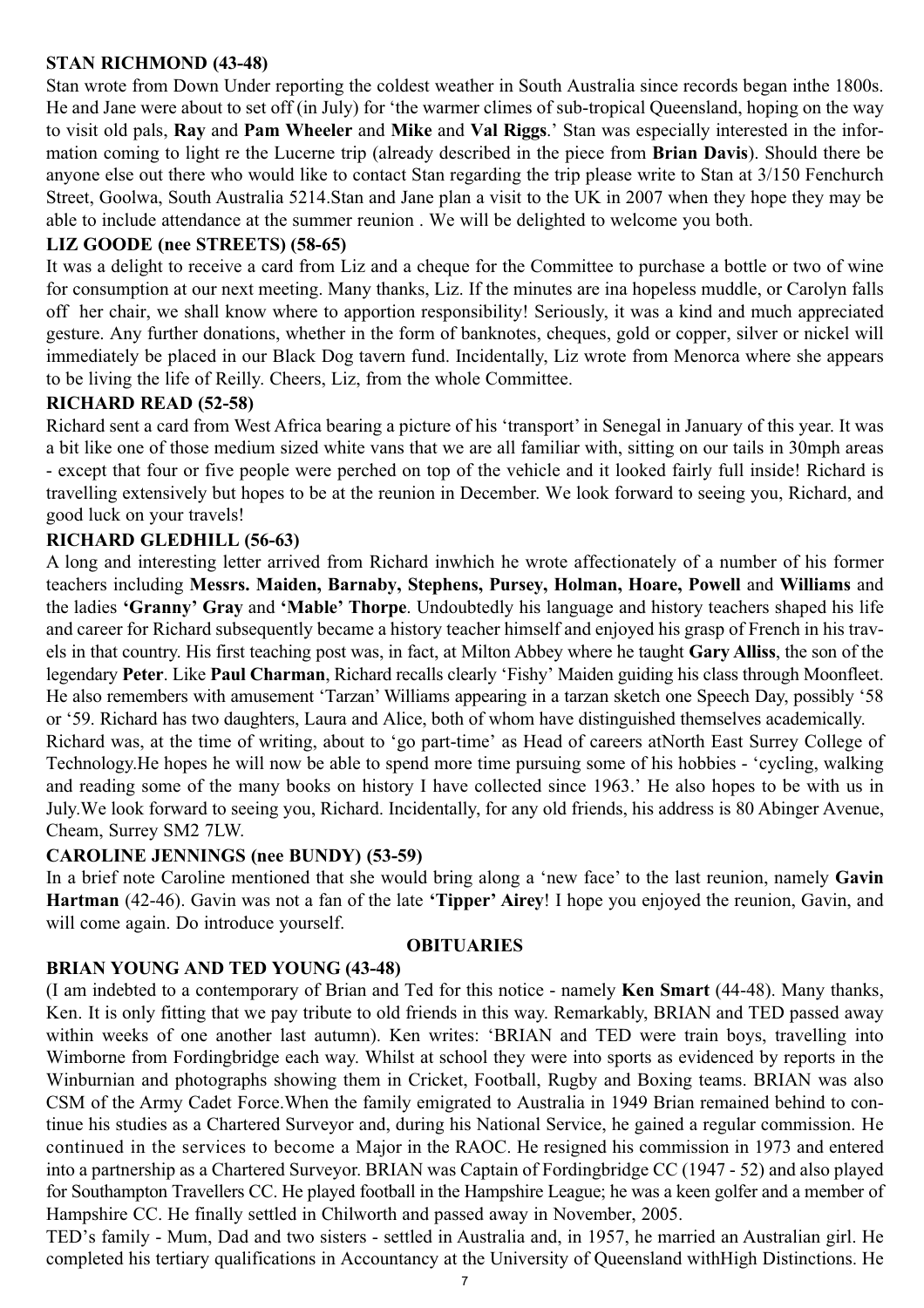# **STAN RICHMOND (43-48)**

Stan wrote from Down Under reporting the coldest weather in South Australia since records began inthe 1800s. He and Jane were about to set off (in July) for 'the warmer climes of sub-tropical Queensland, hoping on the way to visit old pals, **Ray** and **Pam Wheeler** and **Mike** and **Val Riggs**.' Stan was especially interested in the information coming to light re the Lucerne trip (already described in the piece from **Brian Davis**). Should there be anyone else out there who would like to contact Stan regarding the trip please write to Stan at 3/150 Fenchurch Street, Goolwa, South Australia 5214.Stan and Jane plan a visit to the UK in 2007 when they hope they may be able to include attendance at the summer reunion . We will be delighted to welcome you both.

# **LIZ GOODE (nee STREETS) (58-65)**

It was a delight to receive a card from Liz and a cheque for the Committee to purchase a bottle or two of wine for consumption at our next meeting. Many thanks, Liz. If the minutes are ina hopeless muddle, or Carolyn falls off her chair, we shall know where to apportion responsibility! Seriously, it was a kind and much appreciated gesture. Any further donations, whether in the form of banknotes, cheques, gold or copper, silver or nickel will immediately be placed in our Black Dog tavern fund. Incidentally, Liz wrote from Menorca where she appears to be living the life of Reilly. Cheers, Liz, from the whole Committee.

# **RICHARD READ (52-58)**

Richard sent a card from West Africa bearing a picture of his 'transport' in Senegal in January of this year. It was a bit like one of those medium sized white vans that we are all familiar with, sitting on our tails in 30mph areas - except that four or five people were perched on top of the vehicle and it looked fairly full inside! Richard is travelling extensively but hopes to be at the reunion in December. We look forward to seeing you, Richard, and good luck on your travels!

# **RICHARD GLEDHILL (56-63)**

A long and interesting letter arrived from Richard inwhich he wrote affectionately of a number of his former teachers including **Messrs. Maiden, Barnaby, Stephens, Pursey, Holman, Hoare, Powell** and **Williams** and the ladies **'Granny' Gray** and **'Mable' Thorpe**. Undoubtedly his language and history teachers shaped his life and career for Richard subsequently became a history teacher himself and enjoyed his grasp of French in his travels in that country. His first teaching post was, in fact, at Milton Abbey where he taught **Gary Alliss**, the son of the legendary **Peter**. Like **Paul Charman**, Richard recalls clearly 'Fishy' Maiden guiding his class through Moonfleet. He also remembers with amusement 'Tarzan' Williams appearing in a tarzan sketch one Speech Day, possibly '58 or '59. Richard has two daughters, Laura and Alice, both of whom have distinguished themselves academically. Richard was, at the time of writing, about to 'go part-time' as Head of careers atNorth East Surrey College of

Technology.He hopes he will now be able to spend more time pursuing some of his hobbies - 'cycling, walking and reading some of the many books on history I have collected since 1963.' He also hopes to be with us in July.We look forward to seeing you, Richard. Incidentally, for any old friends, his address is 80 Abinger Avenue, Cheam, Surrey SM2 7LW.

# **CAROLINE JENNINGS (nee BUNDY) (53-59)**

In a brief note Caroline mentioned that she would bring along a 'new face' to the last reunion, namely **Gavin Hartman** (42-46). Gavin was not a fan of the late **'Tipper' Airey**! I hope you enjoyed the reunion, Gavin, and will come again. Do introduce yourself.

### **OBITUARIES**

# **BRIAN YOUNG AND TED YOUNG (43-48)**

(I am indebted to a contemporary of Brian and Ted for this notice - namely **Ken Smart** (44-48). Many thanks, Ken. It is only fitting that we pay tribute to old friends in this way. Remarkably, BRIAN and TED passed away within weeks of one another last autumn). Ken writes: 'BRIAN and TED were train boys, travelling into Wimborne from Fordingbridge each way. Whilst at school they were into sports as evidenced by reports in the Winburnian and photographs showing them in Cricket, Football, Rugby and Boxing teams. BRIAN was also CSM of the Army Cadet Force.When the family emigrated to Australia in 1949 Brian remained behind to continue his studies as a Chartered Surveyor and, during his National Service, he gained a regular commission. He continued in the services to become a Major in the RAOC. He resigned his commission in 1973 and entered into a partnership as a Chartered Surveyor. BRIAN was Captain of Fordingbridge CC (1947 - 52) and also played for Southampton Travellers CC. He played football in the Hampshire League; he was a keen golfer and a member of Hampshire CC. He finally settled in Chilworth and passed away in November, 2005.

TED's family - Mum, Dad and two sisters - settled in Australia and, in 1957, he married an Australian girl. He completed his tertiary qualifications in Accountancy at the University of Queensland withHigh Distinctions. He